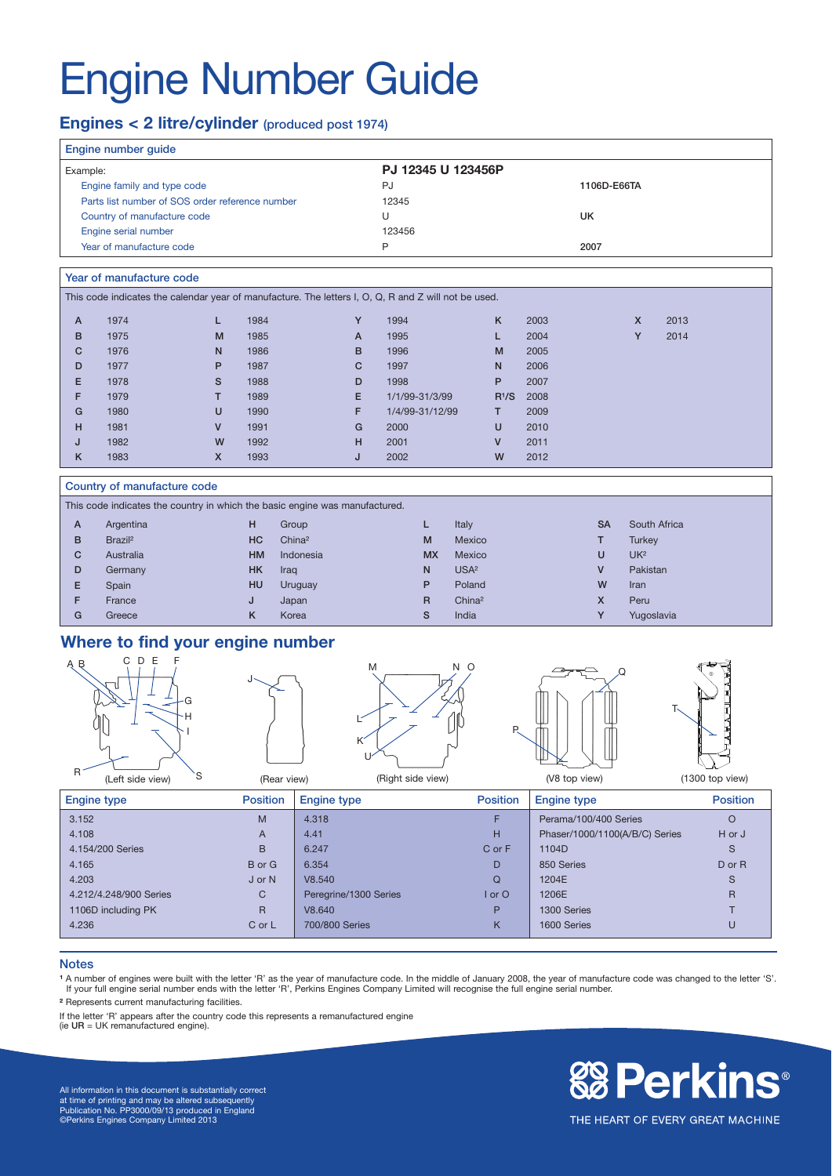# Engine Number Guide

# **Engines < 2 litre/cylinder** (produced post 1974)

|                                                                                            | Engine number guide         |                                                                                                      |                                   |                    |   |                 |             |                    |           |      |              |                 |              |  |
|--------------------------------------------------------------------------------------------|-----------------------------|------------------------------------------------------------------------------------------------------|-----------------------------------|--------------------|---|-----------------|-------------|--------------------|-----------|------|--------------|-----------------|--------------|--|
| Example:<br>Engine family and type code<br>Parts list number of SOS order reference number |                             |                                                                                                      | PJ 12345 U 123456P<br>PJ<br>12345 |                    |   | 1106D-E66TA     |             |                    |           |      |              |                 |              |  |
|                                                                                            | Country of manufacture code |                                                                                                      |                                   |                    |   | U               |             |                    |           |      | <b>UK</b>    |                 |              |  |
|                                                                                            | Engine serial number        |                                                                                                      |                                   |                    |   | 123456          |             |                    |           |      |              |                 |              |  |
|                                                                                            | Year of manufacture code    |                                                                                                      |                                   |                    |   | P               |             |                    |           |      | 2007         |                 |              |  |
| Year of manufacture code                                                                   |                             |                                                                                                      |                                   |                    |   |                 |             |                    |           |      |              |                 |              |  |
|                                                                                            |                             | This code indicates the calendar year of manufacture. The letters I, O, Q, R and Z will not be used. |                                   |                    |   |                 |             |                    |           |      |              |                 |              |  |
| A                                                                                          | 1974                        | L                                                                                                    | 1984                              |                    | Y | 1994            |             |                    | K         | 2003 |              | $\mathsf{x}$    | 2013         |  |
| в                                                                                          | 1975                        | M                                                                                                    | 1985                              |                    | A | 1995            |             |                    | L.        | 2004 |              | Y               | 2014         |  |
| C                                                                                          | 1976                        | N                                                                                                    | 1986                              |                    | B | 1996            |             |                    | M         | 2005 |              |                 |              |  |
| D                                                                                          | 1977                        | P                                                                                                    | 1987                              |                    | C | 1997            |             |                    | N         | 2006 |              |                 |              |  |
| Е                                                                                          | 1978                        | S                                                                                                    | 1988                              |                    | D | 1998            |             |                    | P         | 2007 |              |                 |              |  |
| F                                                                                          | 1979                        | т                                                                                                    | 1989                              |                    | E | 1/1/99-31/3/99  |             |                    | $R^{1}/S$ | 2008 |              |                 |              |  |
| G                                                                                          | 1980                        | U                                                                                                    | 1990                              |                    | F | 1/4/99-31/12/99 |             |                    | T.        | 2009 |              |                 |              |  |
| н                                                                                          | 1981                        | v                                                                                                    | 1991                              |                    | G | 2000            |             |                    | U         | 2010 |              |                 |              |  |
| J                                                                                          | 1982                        | W                                                                                                    | 1992                              |                    | H | 2001            |             |                    | v         | 2011 |              |                 |              |  |
| K                                                                                          | 1983                        | $\mathsf{x}$                                                                                         | 1993                              |                    | J | 2002            |             |                    | W         | 2012 |              |                 |              |  |
|                                                                                            | Country of manufacture code |                                                                                                      |                                   |                    |   |                 |             |                    |           |      |              |                 |              |  |
|                                                                                            |                             | This code indicates the country in which the basic engine was manufactured.                          |                                   |                    |   |                 |             |                    |           |      |              |                 |              |  |
| A                                                                                          | Argentina                   |                                                                                                      | H                                 | Group              |   |                 | L           | Italy              |           |      | <b>SA</b>    |                 | South Africa |  |
| B                                                                                          | Brazil <sup>2</sup>         |                                                                                                      | <b>HC</b>                         | China <sup>2</sup> |   |                 | M           | Mexico             |           |      | T.           | Turkey          |              |  |
| С                                                                                          | Australia                   |                                                                                                      | HM                                | Indonesia          |   |                 | <b>MX</b>   | Mexico             |           |      | U            | UK <sup>2</sup> |              |  |
| D                                                                                          | Germany                     |                                                                                                      | <b>HK</b>                         | Iraq               |   |                 | N           | USA <sup>2</sup>   |           |      | $\mathsf{V}$ | Pakistan        |              |  |
| E                                                                                          | Spain                       |                                                                                                      | HU                                | Uruguay            |   |                 | P           | Poland             |           |      | W            | Iran            |              |  |
| F                                                                                          | France                      |                                                                                                      | J                                 | Japan              |   |                 | $\mathsf R$ | China <sup>2</sup> |           |      | X            | Peru            |              |  |

# **Where to find your engine number**

K Korea

G Greece



S India

| Engine type            | Position     | Engine type           | Position   | Engine type                    | Position     |
|------------------------|--------------|-----------------------|------------|--------------------------------|--------------|
| 3.152                  | M            | 4.318                 |            | Perama/100/400 Series          | $\Omega$     |
| 4.108                  | A            | 4.41                  | н          | Phaser/1000/1100(A/B/C) Series | H or J       |
| 4.154/200 Series       | B            | 6.247                 | $C$ or $F$ | 1104D                          | S            |
| 4.165                  | B or G       | 6.354                 | D          | 850 Series                     | $D$ or $R$   |
| 4.203                  | J or N       | V8.540                | Q          | 1204E                          | S            |
| 4.212/4.248/900 Series | C            | Peregrine/1300 Series | $I$ or $O$ | 1206E                          | $\mathsf{R}$ |
| 1106D including PK     | $\mathsf{R}$ | V8.640                | P          | 1300 Series                    |              |
| 4.236                  | C or L       | 700/800 Series        | K          | 1600 Series                    | U            |
|                        |              |                       |            |                                |              |

#### **Notes**

1 A number of engines were built with the letter 'R' as the year of manufacture code. In the middle of January 2008, the year of manufacture code was changed to the letter 'S'.<br>If your full engine serial number ends with t

**²** Represents current manufacturing facilities.

If the letter 'R' appears after the country code this represents a remanufactured engine

(ie UR = UK remanufactured engine).

All information in this document is substantially correct at time of printing and may be altered subsequently Publication No. PP3000/09/13 produced in England ©Perkins Engines Company Limited 2013

# **&B Perkins®**

Y Yugoslavia

THE HEART OF EVERY GREAT MACHINE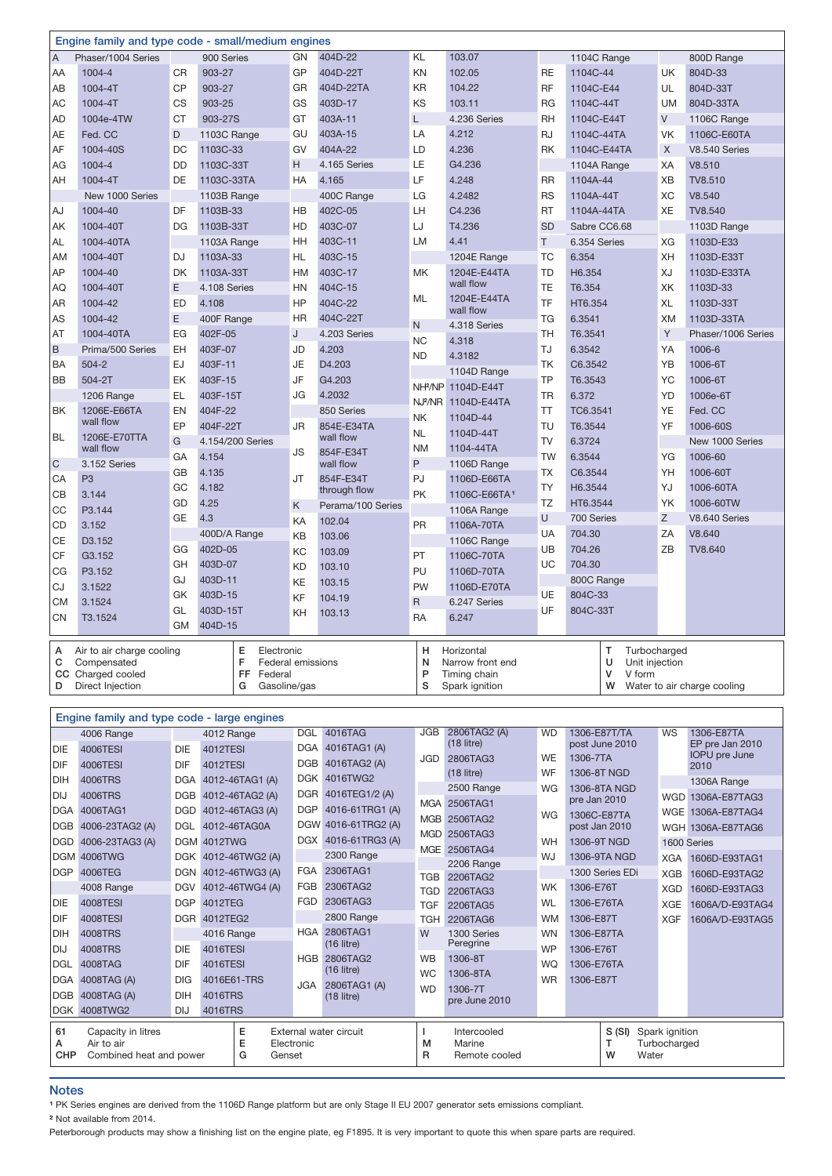|             |                                                                                                                                                                               |            | Engine family and type code - small/medium engines |           |                        |                     |                                |           |                              |           |                                         |
|-------------|-------------------------------------------------------------------------------------------------------------------------------------------------------------------------------|------------|----------------------------------------------------|-----------|------------------------|---------------------|--------------------------------|-----------|------------------------------|-----------|-----------------------------------------|
| Α           | Phaser/1004 Series                                                                                                                                                            |            | 900 Series                                         | GN        | 404D-22                | KL                  | 103.07                         |           | 1104C Range                  |           | 800D Range                              |
| AA          | 1004-4                                                                                                                                                                        | <b>CR</b>  | 903-27                                             | GP        | 404D-22T               | KN                  | 102.05                         | <b>RE</b> | 1104C-44                     | UK        | 804D-33                                 |
| AB          | 1004-4T                                                                                                                                                                       | <b>CP</b>  | 903-27                                             | GR        | 404D-22TA              | KR                  | 104.22                         | <b>RF</b> | 1104C-E44                    | UL        | 804D-33T                                |
| AC          | 1004-4T                                                                                                                                                                       | <b>CS</b>  | 903-25                                             | GS        | 403D-17                | KS                  | 103.11                         | <b>RG</b> | 1104C-44T                    | <b>UM</b> | 804D-33TA                               |
| AD          | 1004e-4TW                                                                                                                                                                     | <b>CT</b>  | 903-27S                                            | GT        | 403A-11                | L                   | 4.236 Series                   | <b>RH</b> | 1104C-E44T                   | $\vee$    | 1106C Range                             |
| AE          | Fed. CC                                                                                                                                                                       | D          | 1103C Range                                        | GU        | 403A-15                | LA                  | 4.212                          | <b>RJ</b> | 1104C-44TA                   | <b>VK</b> | 1106C-E60TA                             |
| AF          | 1004-40S                                                                                                                                                                      | DC         | 1103C-33                                           | GV        | 404A-22                | LD                  | 4.236                          | RK        | 1104C-E44TA                  | $\times$  | V8.540 Series                           |
| AG          | 1004-4                                                                                                                                                                        | DD         | 1103C-33T                                          | H         | 4.165 Series           | LE                  | G4.236                         |           | 1104A Range                  | XA        | V8.510                                  |
| AH          | 1004-4T                                                                                                                                                                       | DE         | 1103C-33TA                                         | HA        | 4.165                  | LF                  | 4.248                          | <b>RR</b> | 1104A-44                     | XB        | TV8.510                                 |
|             | New 1000 Series                                                                                                                                                               |            | 1103B Range                                        |           | 400C Range             | LG                  | 4.2482                         | <b>RS</b> | 1104A-44T                    | XC        | V8.540                                  |
| AJ          | 1004-40                                                                                                                                                                       | DF         | 1103B-33                                           | HB        | 402C-05                | LH                  | C4.236                         | <b>RT</b> | 1104A-44TA                   | XE        | TV8.540                                 |
| AK          | 1004-40T                                                                                                                                                                      | DG         | 1103B-33T                                          | HD        | 403C-07                | LJ                  | T4.236                         | <b>SD</b> | Sabre CC6.68                 |           | 1103D Range                             |
| AL          | 1004-40TA                                                                                                                                                                     |            | 1103A Range                                        | HH        | 403C-11                | LM                  | 4.41                           | T         | 6.354 Series                 | XG        | 1103D-E33                               |
|             | 1004-40T                                                                                                                                                                      | DJ         | 1103A-33                                           | HL        | 403C-15                |                     | 1204E Range                    |           | 6.354                        | XH        | 1103D-E33T                              |
| AM          |                                                                                                                                                                               |            |                                                    |           |                        |                     |                                | ТC        |                              |           |                                         |
| AP          | 1004-40                                                                                                                                                                       | <b>DK</b>  | 1103A-33T                                          | HM        | 403C-17                | MK                  | 1204E-E44TA<br>wall flow       | <b>TD</b> | H6.354                       | XJ        | 1103D-E33TA                             |
| AQ          | 1004-40T                                                                                                                                                                      | E          | 4.108 Series                                       | HN        | 404C-15                | ML                  | 1204E-E44TA                    | <b>TE</b> | T6.354                       | XK        | 1103D-33                                |
| AR          | 1004-42                                                                                                                                                                       | ED         | 4.108                                              | HP        | 404C-22                |                     | wall flow                      | <b>TF</b> | HT6.354                      | XL        | 1103D-33T                               |
| AS          | 1004-42                                                                                                                                                                       | E          | 400F Range                                         | <b>HR</b> | 404C-22T               | N                   | 4.318 Series                   | <b>TG</b> | 6.3541                       | XM        | 1103D-33TA                              |
| AT          | 1004-40TA                                                                                                                                                                     | EG         | 402F-05                                            | J         | 4.203 Series           | <b>NC</b>           | 4.318                          | <b>TH</b> | T6.3541                      | Y         | Phaser/1006 Series                      |
| B           | Prima/500 Series                                                                                                                                                              | EH         | 403F-07                                            | JD        | 4.203                  | <b>ND</b>           | 4.3182                         | TJ        | 6.3542                       | YA        | 1006-6                                  |
| BA          | $504 - 2$                                                                                                                                                                     | EJ         | 403F-11                                            | <b>JE</b> | D4.203                 |                     | 1104D Range                    | TK        | C6.3542                      | YB        | 1006-6T                                 |
| <b>BB</b>   | 504-2T                                                                                                                                                                        | EK         | 403F-15                                            | JF        | G4.203                 |                     | NH <sup>2</sup> /NP 1104D-E44T | <b>TP</b> | T6.3543                      | YC        | 1006-6T                                 |
|             | 1206 Range                                                                                                                                                                    | EL         | 403F-15T                                           | JG        | 4.2032                 | NJ <sup>2</sup> /NR | 1104D-E44TA                    | TR        | 6.372                        | YD        | 1006e-6T                                |
| BK          | 1206E-E66TA                                                                                                                                                                   | EN         | 404F-22                                            |           | 850 Series             | <b>NK</b>           | 1104D-44                       | TT        | TC6.3541                     | YE        | Fed. CC                                 |
|             | wall flow                                                                                                                                                                     | EP         | 404F-22T                                           | <b>JR</b> | 854E-E34TA             | <b>NL</b>           | 1104D-44T                      | <b>TU</b> | T6.3544                      | YF        | 1006-60S                                |
| BL          | 1206E-E70TTA<br>wall flow                                                                                                                                                     | G          | 4.154/200 Series                                   |           | wall flow              | <b>NM</b>           | 1104-44TA                      | TV        | 6.3724                       |           | New 1000 Series                         |
| $\mathsf C$ | 3.152 Series                                                                                                                                                                  | GA         | 4.154                                              | <b>JS</b> | 854F-E34T<br>wall flow | P                   | 1106D Range                    | <b>TW</b> | 6.3544                       | YG        | 1006-60                                 |
| CA          | P <sub>3</sub>                                                                                                                                                                | GB         | 4.135                                              | <b>JT</b> | 854F-E34T              | PJ                  | 1106D-E66TA                    | TX        | C6.3544                      | YH        | 1006-60T                                |
| CВ          | 3.144                                                                                                                                                                         | GC         | 4.182                                              |           | through flow           | PK                  | 1106C-E66TA1                   | <b>TY</b> | H6.3544                      | YJ        | 1006-60TA                               |
| CC          | P3.144                                                                                                                                                                        | GD         | 4.25                                               | Κ         | Perama/100 Series      |                     |                                | TZ        | HT6.3544                     | YK        | 1006-60TW                               |
|             |                                                                                                                                                                               | GE         | 4.3                                                | KA        | 102.04                 | PR                  | 1106A Range                    | U         | 700 Series                   | Z         | V8.640 Series                           |
| CD          | 3.152                                                                                                                                                                         |            | 400D/A Range                                       | KB        | 103.06                 |                     | 1106A-70TA                     | UA        | 704.30                       | ZA        | V8.640                                  |
| СE          | D3.152                                                                                                                                                                        | GG         | 402D-05                                            | KC        | 103.09                 |                     | 1106C Range                    | UB        | 704.26                       | ZB        | TV8.640                                 |
| CF          | G3.152                                                                                                                                                                        | GH         | 403D-07                                            | <b>KD</b> | 103.10                 | PT                  | 1106C-70TA                     | UC        | 704.30                       |           |                                         |
| CG          | P3.152                                                                                                                                                                        | GJ         | 403D-11                                            | KE        | 103.15                 | PU                  | 1106D-70TA                     |           | 800C Range                   |           |                                         |
| CJ          | 3.1522                                                                                                                                                                        | GK         | 403D-15                                            | KF        | 104.19                 | <b>PW</b>           | 1106D-E70TA                    | UE        | 804C-33                      |           |                                         |
| <b>CM</b>   | 3.1524                                                                                                                                                                        | GL         | 403D-15T                                           | KH        | 103.13                 | $\sf R$             | 6.247 Series                   | UF        | 804C-33T                     |           |                                         |
| <b>CN</b>   | T3.1524                                                                                                                                                                       | GM         | 404D-15                                            |           |                        | RA                  | 6.247                          |           |                              |           |                                         |
| А<br>С      | H<br>Е<br>T<br>Electronic<br>Horizontal<br>Turbocharged<br>Air to air charge cooling<br>Compensated<br>F<br>Narrow front end<br>Unit injection<br>Federal emissions<br>N<br>υ |            |                                                    |           |                        |                     |                                |           |                              |           |                                         |
|             | CC Charged cooled                                                                                                                                                             |            | FF<br>Federal                                      |           |                        | Ρ                   | Timing chain                   |           | v<br>V form                  |           |                                         |
| D           | Direct Injection                                                                                                                                                              |            | Gasoline/gas<br>G                                  |           |                        | S                   | Spark ignition                 |           | w                            |           | Water to air charge cooling             |
|             |                                                                                                                                                                               |            |                                                    |           |                        |                     |                                |           |                              |           |                                         |
|             | Engine family and type code - large engines                                                                                                                                   |            |                                                    |           |                        |                     |                                |           |                              |           |                                         |
|             | 4006 Range                                                                                                                                                                    |            | 4012 Range                                         |           | <b>DGL 4016TAG</b>     | JGB                 | 2806TAG2 (A)                   | <b>WD</b> | 1306-E87T/TA                 | WS        | 1306-E87TA                              |
| DIE         | 4006TESI                                                                                                                                                                      | DIE        | 4012TESI                                           |           | DGA 4016TAG1 (A)       |                     | $(18$ litre)                   |           | post June 2010               |           | EP pre Jan 2010<br><b>IOPU</b> pre June |
| DIF         | 4006TESI                                                                                                                                                                      | DIF        | <b>4012TESI</b>                                    |           | DGB 4016TAG2 (A)       |                     | <b>JGD 2806TAG3</b>            | WE        | 1306-7TA                     |           | 2010                                    |
| DIH         | 4006TRS                                                                                                                                                                       | <b>DGA</b> | 4012-46TAG1 (A)                                    |           | DGK 4016TWG2           |                     | $(18$ litre)                   | WF        | 1306-8T NGD                  |           | 1306A Range                             |
| DIJ         | 4006TRS                                                                                                                                                                       |            | DGB 4012-46TAG2 (A)                                |           | DGR 4016TEG1/2 (A)     |                     | 2500 Range                     | WG        | 1306-8TA NGD                 |           | WGD 1306A-E87TAG3                       |
|             | DGA 4006TAG1                                                                                                                                                                  |            | DGD 4012-46TAG3 (A)                                |           | DGP 4016-61TRG1 (A)    |                     | MGA 2506TAG1                   |           | pre Jan 2010                 |           | WGE 1306A-E87TAG4                       |
| DGB         | 4006-23TAG2 (A)                                                                                                                                                               | DGL        | 4012-46TAG0A                                       |           | DGW 4016-61TRG2 (A)    |                     | MGB 2506TAG2                   | WG        | 1306C-E87TA<br>post Jan 2010 |           | <b>WGH 1306A-E87TAG6</b>                |
|             | DGD 4006-23TAG3 (A)                                                                                                                                                           |            | <b>DGM 4012TWG</b>                                 |           | DGX 4016-61TRG3 (A)    |                     | MGD 2506TAG3                   |           | WH 1306-9T NGD               |           | 1600 Series                             |

Combined heat and power

DGD 4006-23TAG3 (A) DGM 4012TWG

DGK 4012-46TWG2 (A) DGN 4012-46TWG3 (A) DGV 4012-46TWG4 (A) DGP 4012TEG DGR 4012TEG2 4016 Range DIE 4016TESI DIF 4016TESI DIG 4016E61-TRS DIH 4016TRS DIJ 4016TRS

**¹** PK Series engines are derived from the 1106D Range platform but are only Stage II EU 2007 generator sets emissions compliant.

E External water circuit<br>E Electronic E Electronic<br>G Genset Genset

**²** Not available from 2014.

61 Capacity in litres A Air to air<br>CHP Combine

DGM 4006TWG DGP 4006TEG 4008 Range DIE 4008TESI DIF 4008TESI DIH 4008TRS DIJ 4008TRS DGL 4008TAG DGA 4008TAG (A) DGB 4008TAG (A) DGK 4008TWG2

Peterborough products may show a finishing list on the engine plate, eg F1895. It is very important to quote this when spare parts are required.

2300 Range FGA 2306TAG1 FGB 2306TAG2 FGD 2306TAG3 2800 Range HGA 2806TAG1 (16 litre) HGB 2806TAG2 (16 litre) JGA 2806TAG1 (A) (18 litre)

> I Intercooled<br>M Marine M Marine<br>R Remote

MGE 2506TAG4 2206 Range TGB 2206TAG2 TGD 2206TAG3 TGF 2206TAG5 TGH 2206TAG6 W 1300 Series **Peregrine** WB 1306-8T WC 1306-8TA WD 1306-7T

Remote cooled

pre June 2010

S (SI) Spark ignition T Turbocharged<br>W Water Water

1600 Series

XGA 1606D-E93TAG1 XGB 1606D-E93TAG2 XGD 1606D-E93TAG3 XGE 1606A/D-E93TAG4 XGF 1606A/D-E93TAG5

WH 1306-9T NGD WJ 1306-9TA NGD 1300 Series EDi

WK 1306-E76T WL 1306-E76TA WM 1306-E87T WN 1306-E87TA WP 1306-E76T WQ 1306-E76TA WR 1306-E87T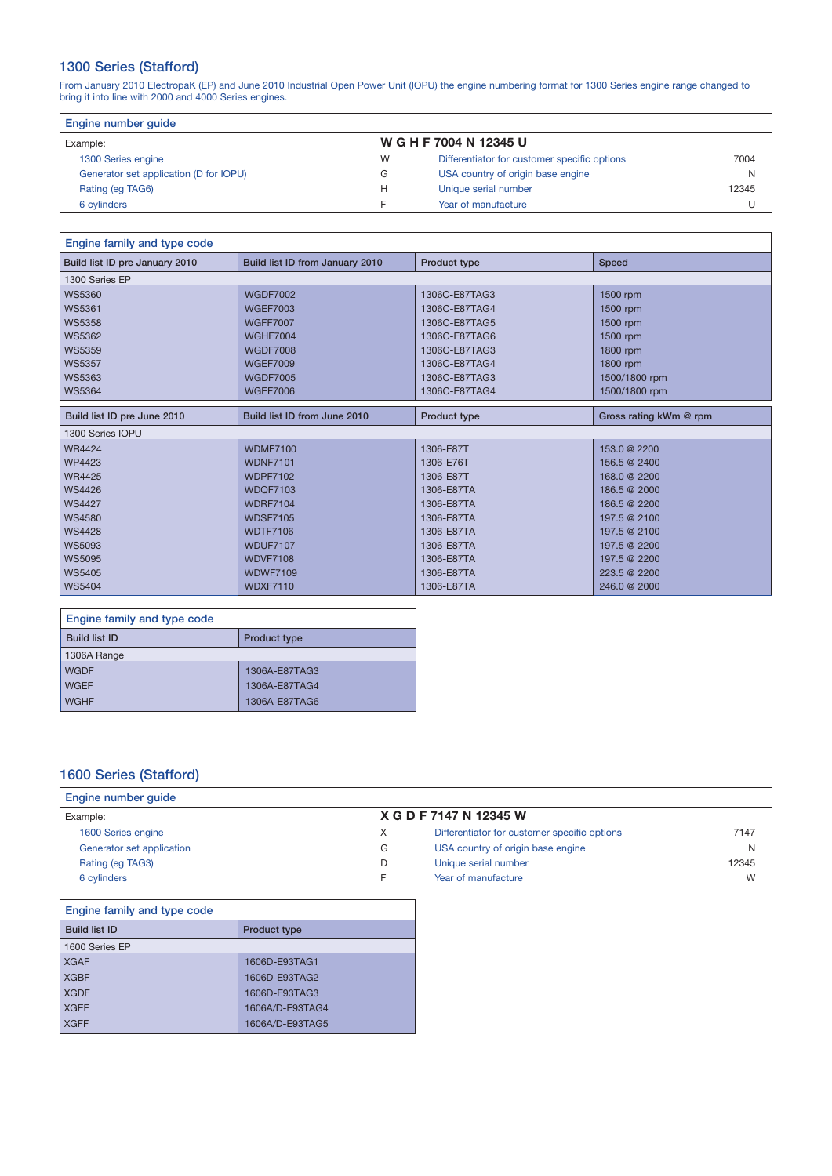## 1300 Series (Stafford)

From January 2010 ElectropaK (EP) and June 2010 Industrial Open Power Unit (IOPU) the engine numbering format for 1300 Series engine range changed to bring it into line with 2000 and 4000 Series engines.

| Engine number quide                    |                        |                                              |       |
|----------------------------------------|------------------------|----------------------------------------------|-------|
| Example:                               | W G H F 7004 N 12345 U |                                              |       |
| 1300 Series engine                     | W                      | Differentiator for customer specific options | 7004  |
| Generator set application (D for IOPU) | G                      | USA country of origin base engine            | N     |
| Rating (eg TAG6)                       | H                      | Unique serial number                         | 12345 |
| 6 cylinders                            |                        | Year of manufacture                          |       |

| Engine family and type code    |                                 |                     |                        |
|--------------------------------|---------------------------------|---------------------|------------------------|
| Build list ID pre January 2010 | Build list ID from January 2010 | <b>Product type</b> | <b>Speed</b>           |
| 1300 Series EP                 |                                 |                     |                        |
| <b>WS5360</b>                  | <b>WGDF7002</b>                 | 1306C-E87TAG3       | 1500 rpm               |
| <b>WS5361</b>                  | <b>WGEF7003</b>                 | 1306C-E87TAG4       | 1500 rpm               |
| <b>WS5358</b>                  | <b>WGFF7007</b>                 | 1306C-E87TAG5       | 1500 rpm               |
| <b>WS5362</b>                  | <b>WGHF7004</b>                 | 1306C-E87TAG6       | 1500 rpm               |
| <b>WS5359</b>                  | <b>WGDF7008</b>                 | 1306C-E87TAG3       | 1800 rpm               |
| <b>WS5357</b>                  | <b>WGEF7009</b>                 | 1306C-E87TAG4       | 1800 rpm               |
| <b>WS5363</b>                  | <b>WGDF7005</b>                 | 1306C-E87TAG3       | 1500/1800 rpm          |
| <b>WS5364</b>                  | <b>WGEF7006</b>                 | 1306C-E87TAG4       | 1500/1800 rpm          |
| Build list ID pre June 2010    | Build list ID from June 2010    | <b>Product type</b> | Gross rating kWm @ rpm |
|                                |                                 |                     |                        |
| 1300 Series IOPU               |                                 |                     |                        |
| <b>WR4424</b>                  | <b>WDMF7100</b>                 | 1306-E87T           | 153.0 @ 2200           |
| WP4423                         | <b>WDNF7101</b>                 | 1306-E76T           | 156.5 @ 2400           |
| <b>WR4425</b>                  | <b>WDPF7102</b>                 | 1306-E87T           | 168.0 @ 2200           |
| <b>WS4426</b>                  | <b>WDQF7103</b>                 | 1306-E87TA          | 186.5 @ 2000           |
| <b>WS4427</b>                  | <b>WDRF7104</b>                 | 1306-E87TA          | 186.5 @ 2200           |
| <b>WS4580</b>                  | <b>WDSF7105</b>                 | 1306-E87TA          | 197.5 @ 2100           |
| <b>WS4428</b>                  | <b>WDTF7106</b>                 | 1306-E87TA          | 197.5 @ 2100           |
| <b>WS5093</b>                  | <b>WDUF7107</b>                 | 1306-E87TA          | 197.5 @ 2200           |
| <b>WS5095</b>                  | <b>WDVF7108</b>                 | 1306-E87TA          | 197.5 @ 2200           |
| <b>WS5405</b>                  | <b>WDWF7109</b>                 | 1306-E87TA          | 223.5 @ 2200           |
| <b>WS5404</b>                  | <b>WDXF7110</b>                 | 1306-E87TA          | 246.0 @ 2000           |

| Engine family and type code |                     |  |  |  |  |
|-----------------------------|---------------------|--|--|--|--|
| <b>Build list ID</b>        | <b>Product type</b> |  |  |  |  |
| 1306A Range                 |                     |  |  |  |  |
| <b>WGDF</b>                 | 1306A-E87TAG3       |  |  |  |  |
| <b>WGEF</b>                 | 1306A-E87TAG4       |  |  |  |  |
| <b>WGHF</b>                 | 1306A-E87TAG6       |  |  |  |  |

## 1600 Series (Stafford)

| Engine number guide       |   |                                              |       |  |  |
|---------------------------|---|----------------------------------------------|-------|--|--|
| Example:                  |   | X G D F 7147 N 12345 W                       |       |  |  |
| 1600 Series engine        | X | Differentiator for customer specific options | 7147  |  |  |
| Generator set application | G | USA country of origin base engine            | N     |  |  |
| Rating (eg TAG3)          | D | Unique serial number                         | 12345 |  |  |
| 6 cylinders               |   | Year of manufacture                          | W     |  |  |

| Engine family and type code |                     |  |  |  |
|-----------------------------|---------------------|--|--|--|
| <b>Build list ID</b>        | <b>Product type</b> |  |  |  |
| 1600 Series EP              |                     |  |  |  |
| <b>XGAF</b>                 | 1606D-E93TAG1       |  |  |  |
| <b>XGBF</b>                 | 1606D-E93TAG2       |  |  |  |
| <b>XGDF</b>                 | 1606D-E93TAG3       |  |  |  |
| <b>XGEF</b>                 | 1606A/D-E93TAG4     |  |  |  |
| <b>XGFF</b>                 | 1606A/D-E93TAG5     |  |  |  |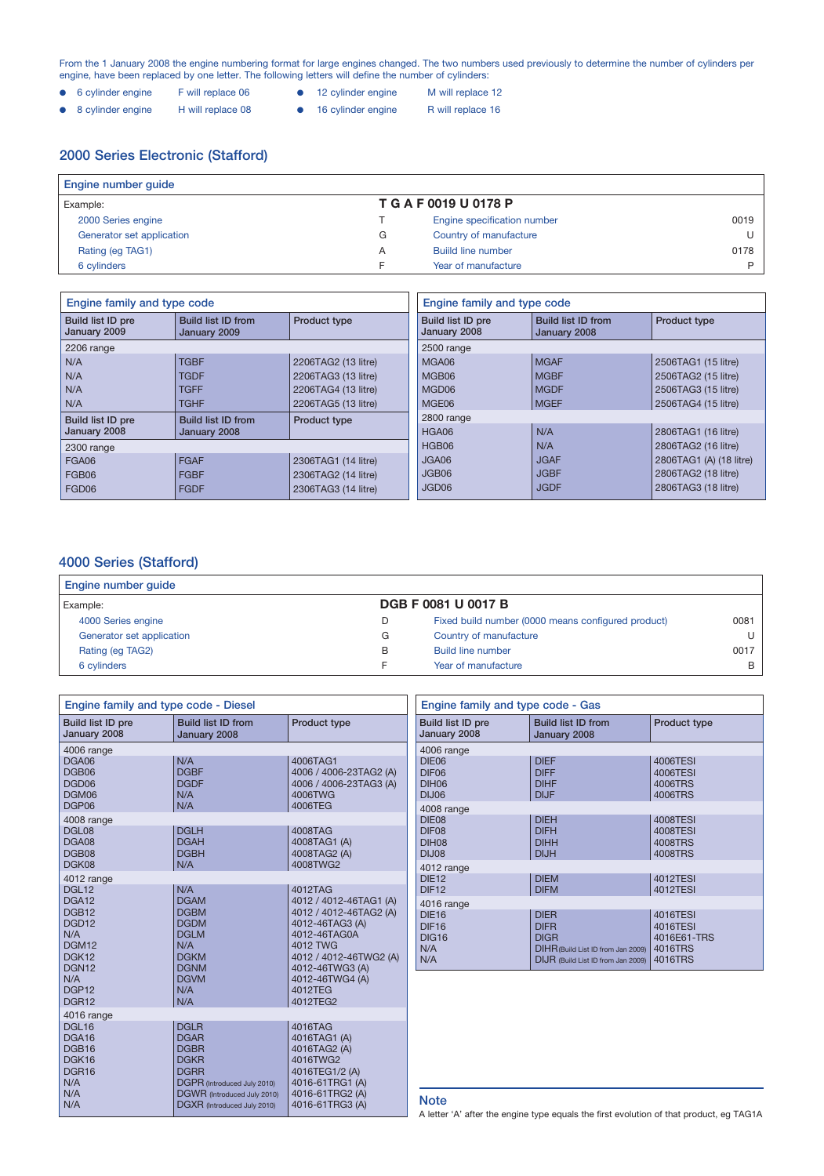From the 1 January 2008 the engine numbering format for large engines changed. The two numbers used previously to determine the number of cylinders per engine, have been replaced by one letter. The following letters will define the number of cylinders:

- 6 cylinder engine F will replace 06 12 cylinder engine M will replace 12
- 8 cylinder engine H will replace 08 · · · · · · · · 16 cylinder engine B will replace 16
	-
- -

# 2000 Series Electronic (Stafford)

| Engine number quide       |                              |                             |      |
|---------------------------|------------------------------|-----------------------------|------|
| Example:                  | <b>T G A F 0019 U 0178 P</b> |                             |      |
| 2000 Series engine        |                              | Engine specification number | 0019 |
| Generator set application | G                            | Country of manufacture      |      |
| Rating (eg TAG1)          | A                            | <b>Build line number</b>    | 0178 |
| 6 cylinders               | ⊢                            | Year of manufacture         | Þ    |

| Engine family and type code       |                                           |                     | Engine family and type code       |                                           |                         |
|-----------------------------------|-------------------------------------------|---------------------|-----------------------------------|-------------------------------------------|-------------------------|
| Build list ID pre<br>January 2009 | <b>Build list ID from</b><br>January 2009 | Product type        | Build list ID pre<br>January 2008 | <b>Build list ID from</b><br>January 2008 | Product type            |
| 2206 range                        |                                           |                     | 2500 range                        |                                           |                         |
| N/A                               | <b>TGBF</b>                               | 2206TAG2 (13 litre) | MGA06                             | <b>MGAF</b>                               | 2506TAG1 (15 litre)     |
| N/A                               | <b>TGDF</b>                               | 2206TAG3 (13 litre) | MGB06                             | <b>MGBF</b>                               | 2506TAG2 (15 litre)     |
| N/A                               | <b>TGFF</b>                               | 2206TAG4 (13 litre) | MGD06                             | <b>MGDF</b>                               | 2506TAG3 (15 litre)     |
| N/A                               | <b>TGHF</b>                               | 2206TAG5 (13 litre) | MGE06                             | <b>IMGEF</b>                              | 2506TAG4 (15 litre)     |
| Build list ID pre                 | <b>Build list ID from</b>                 | <b>Product type</b> | 2800 range                        |                                           |                         |
| January 2008                      | January 2008                              |                     | HGA06                             | N/A                                       | 2806TAG1 (16 litre)     |
| 2300 range                        |                                           |                     | HGB06                             | N/A                                       | 2806TAG2 (16 litre)     |
| FGA06                             | <b>FGAF</b>                               | 2306TAG1 (14 litre) | JGA06                             | <b>JGAF</b>                               | 2806TAG1 (A) (18 litre) |
| FGB06                             | <b>FGBF</b>                               | 2306TAG2 (14 litre) | JGB06                             | <b>JGBF</b>                               | 2806TAG2 (18 litre)     |
| FGD06                             | <b>FGDF</b>                               | 2306TAG3 (14 litre) | JGD06                             | <b>JGDF</b>                               | 2806TAG3 (18 litre)     |

## 4000 Series (Stafford)

| Engine number quide       |                            |                                                    |      |
|---------------------------|----------------------------|----------------------------------------------------|------|
| Example:                  | <b>DGB F 0081 U 0017 B</b> |                                                    |      |
| 4000 Series engine        | D                          | Fixed build number (0000 means configured product) | 0081 |
| Generator set application | G                          | Country of manufacture                             | U    |
| Rating (eg TAG2)          | в                          | <b>Build line number</b>                           | 0017 |
| 6 cylinders               |                            | Year of manufacture                                | B    |

| Engine family and type code - Diesel                                                                                                                                                                    |                                                                                                                                                                      |                                                                                                                                                                                                   |  |  |  |  |
|---------------------------------------------------------------------------------------------------------------------------------------------------------------------------------------------------------|----------------------------------------------------------------------------------------------------------------------------------------------------------------------|---------------------------------------------------------------------------------------------------------------------------------------------------------------------------------------------------|--|--|--|--|
| Build list ID pre<br>January 2008                                                                                                                                                                       | <b>Build list ID from</b><br>January 2008                                                                                                                            | <b>Product type</b>                                                                                                                                                                               |  |  |  |  |
| 4006 range                                                                                                                                                                                              |                                                                                                                                                                      |                                                                                                                                                                                                   |  |  |  |  |
| DGA06<br>DGB06<br>DGD <sub>06</sub><br>DGM06<br>DGP06                                                                                                                                                   | N/A<br><b>DGBF</b><br><b>DGDF</b><br>N/A<br>N/A                                                                                                                      | 4006TAG1<br>4006 / 4006-23TAG2 (A)<br>4006 / 4006-23TAG3 (A)<br>4006TWG<br>4006TEG                                                                                                                |  |  |  |  |
| 4008 range                                                                                                                                                                                              |                                                                                                                                                                      |                                                                                                                                                                                                   |  |  |  |  |
| DGL08<br>DGA08<br>DGB08<br>DGK08                                                                                                                                                                        | <b>DGLH</b><br><b>DGAH</b><br><b>DGBH</b><br>N/A                                                                                                                     | 4008TAG<br>4008TAG1 (A)<br>4008TAG2 (A)<br>4008TWG2                                                                                                                                               |  |  |  |  |
| 4012 range                                                                                                                                                                                              |                                                                                                                                                                      |                                                                                                                                                                                                   |  |  |  |  |
| DGL <sub>12</sub><br>DGA <sub>12</sub><br>DGB <sub>12</sub><br>DGD <sub>12</sub><br>N/A<br>DGM <sub>12</sub><br>DGK <sub>12</sub><br>DGN <sub>12</sub><br>N/A<br>DGP <sub>12</sub><br>DGR <sub>12</sub> | N/A<br><b>DGAM</b><br><b>DGBM</b><br><b>DGDM</b><br><b>DGLM</b><br>N/A<br><b>DGKM</b><br><b>DGNM</b><br><b>DGVM</b><br>N/A<br>N/A                                    | 4012TAG<br>4012 / 4012-46TAG1 (A)<br>4012 / 4012-46TAG2 (A)<br>4012-46TAG3 (A)<br>4012-46TAG0A<br>4012 TWG<br>4012 / 4012-46TWG2 (A)<br>4012-46TWG3 (A)<br>4012-46TWG4 (A)<br>4012TEG<br>4012TEG2 |  |  |  |  |
| 4016 range                                                                                                                                                                                              |                                                                                                                                                                      |                                                                                                                                                                                                   |  |  |  |  |
| DGL <sub>16</sub><br>DGA <sub>16</sub><br>DGB <sub>16</sub><br>DGK16<br>DGR <sub>16</sub><br>N/A<br>N/A<br>N/A                                                                                          | <b>DGLR</b><br><b>DGAR</b><br><b>DGBR</b><br><b>DGKR</b><br><b>DGRR</b><br>DGPR (Introduced July 2010)<br>DGWR (Introduced July 2010)<br>DGXR (Introduced July 2010) | 4016TAG<br>4016TAG1 (A)<br>4016TAG2 (A)<br>4016TWG2<br>4016TEG1/2 (A)<br>4016-61TRG1 (A)<br>4016-61TRG2 (A)<br>4016-61TRG3 (A)                                                                    |  |  |  |  |

| Engine family and type code - Gas                               |                                                                                                                       |                                                           |  |  |  |  |
|-----------------------------------------------------------------|-----------------------------------------------------------------------------------------------------------------------|-----------------------------------------------------------|--|--|--|--|
| Build list ID pre<br>January 2008                               | <b>Build list ID from</b><br>January 2008                                                                             | Product type                                              |  |  |  |  |
| 4006 range                                                      |                                                                                                                       |                                                           |  |  |  |  |
| DIE06<br>DIF <sub>06</sub><br>DIH <sub>06</sub><br><b>DIJ06</b> | <b>DIEF</b><br><b>DIFF</b><br><b>DIHF</b><br><b>DIJF</b>                                                              | 4006TESI<br>4006TESI<br>4006TRS<br>4006TRS                |  |  |  |  |
| 4008 range                                                      |                                                                                                                       |                                                           |  |  |  |  |
| DIE08<br>DIF08<br>DIH <sub>08</sub><br><b>DIJ08</b>             | <b>DIEH</b><br><b>DIFH</b><br><b>DIHH</b><br><b>DIJH</b>                                                              | 4008TESI<br>4008TESI<br>4008TRS<br>4008TRS                |  |  |  |  |
| 4012 range                                                      |                                                                                                                       |                                                           |  |  |  |  |
| DIE <sub>12</sub><br>DIF <sub>12</sub>                          | <b>DIEM</b><br><b>DIFM</b>                                                                                            | <b>4012TESI</b><br><b>4012TESI</b>                        |  |  |  |  |
| 4016 range                                                      |                                                                                                                       |                                                           |  |  |  |  |
| <b>DIE16</b><br>DIF <sub>16</sub><br><b>DIG16</b><br>N/A<br>N/A | <b>DIER</b><br><b>DIFR</b><br><b>DIGR</b><br>DIHR (Build List ID from Jan 2009)<br>DIJR (Build List ID from Jan 2009) | 4016TESI<br>4016TESI<br>4016E61-TRS<br>4016TRS<br>4016TRS |  |  |  |  |

**Note** 

A letter 'A' after the engine type equals the first evolution of that product, eg TAG1A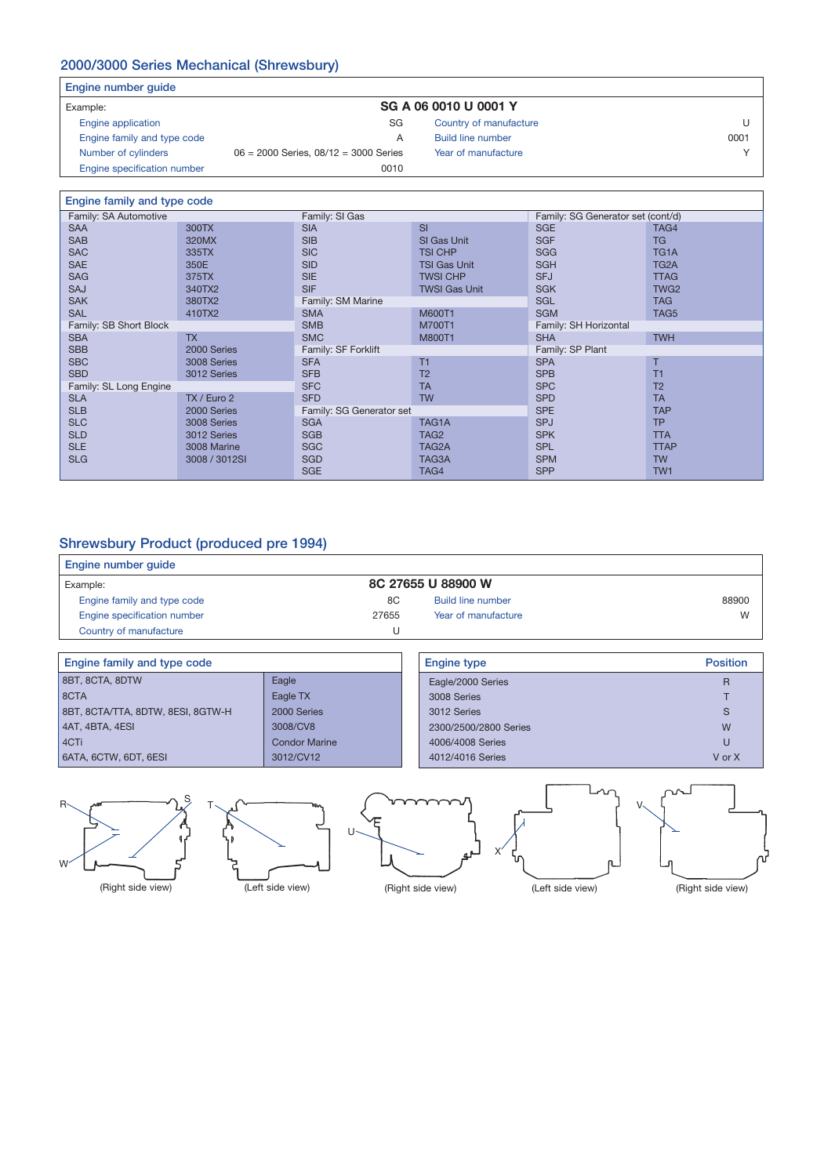## 2000/3000 Series Mechanical (Shrewsbury)

## Engine number guide

| Example:                    | SG A 06 0010 U 0001 Y                     |                          |      |  |
|-----------------------------|-------------------------------------------|--------------------------|------|--|
| Engine application          | SG                                        | Country of manufacture   |      |  |
| Engine family and type code | A                                         | <b>Build line number</b> | 0001 |  |
| Number of cylinders         | $06 = 2000$ Series, $08/12 = 3000$ Series | Year of manufacture      |      |  |
| Engine specification number | 0010                                      |                          |      |  |
|                             |                                           |                          |      |  |

# Engine family and type code

|                        | Family: SI Gas           |                      | Family: SG Generator set (cont/d) |                   |
|------------------------|--------------------------|----------------------|-----------------------------------|-------------------|
| 300TX                  | <b>SIA</b>               | SI                   | <b>SGE</b>                        | TAG4              |
| 320MX                  | <b>SIB</b>               | SI Gas Unit          | <b>SGF</b>                        | <b>TG</b>         |
| 335TX                  | <b>SIC</b>               | <b>TSI CHP</b>       | <b>SGG</b>                        | TG1A              |
| 350E                   | <b>SID</b>               | <b>TSI Gas Unit</b>  | <b>SGH</b>                        | TG <sub>2</sub> A |
| 375TX                  | <b>SIE</b>               | <b>TWSI CHP</b>      | <b>SFJ</b>                        | <b>TTAG</b>       |
| 340TX2                 | <b>SIF</b>               | <b>TWSI Gas Unit</b> | <b>SGK</b>                        | TWG <sub>2</sub>  |
| 380TX2                 | Family: SM Marine        |                      | <b>SGL</b>                        | <b>TAG</b>        |
| 410TX2                 | <b>SMA</b>               | M600T1               | <b>SGM</b>                        | TAG5              |
|                        | <b>SMB</b><br>M700T1     |                      | Family: SH Horizontal             |                   |
| <b>TX</b>              | <b>SMC</b>               | M800T1               | <b>SHA</b>                        | <b>TWH</b>        |
| 2000 Series            | Family: SF Forklift      |                      | Family: SP Plant                  |                   |
| 3008 Series            | <b>SFA</b>               | T1                   | <b>SPA</b>                        |                   |
| 3012 Series            | <b>SFB</b>               | T <sub>2</sub>       | <b>SPB</b>                        | T1                |
| Family: SL Long Engine |                          | <b>TA</b>            | <b>SPC</b>                        | T <sub>2</sub>    |
| TX / Euro 2            | <b>SFD</b>               | <b>TW</b>            | <b>SPD</b>                        | <b>TA</b>         |
| 2000 Series            | Family: SG Generator set |                      | <b>SPE</b>                        | <b>TAP</b>        |
| 3008 Series            | <b>SGA</b>               | TAG1A                | <b>SPJ</b>                        | <b>TP</b>         |
| 3012 Series            | <b>SGB</b>               | TAG <sub>2</sub>     | <b>SPK</b>                        | <b>TTA</b>        |
| 3008 Marine            | <b>SGC</b>               | TAG2A                | <b>SPL</b>                        | <b>TTAP</b>       |
| 3008 / 3012SI          | <b>SGD</b>               | TAG3A                | <b>SPM</b>                        | <b>TW</b>         |
|                        | <b>SGE</b>               | TAG4                 | <b>SPP</b>                        | TW1               |
|                        |                          | <b>SFC</b>           |                                   |                   |

# Shrewsbury Product (produced pre 1994)

| Engine number guide               |                      |                          |                 |
|-----------------------------------|----------------------|--------------------------|-----------------|
| Example:                          |                      | 8C 27655 U 88900 W       |                 |
| Engine family and type code       | 8C                   | <b>Build line number</b> | 88900           |
| Engine specification number       | 27655                | Year of manufacture      | W               |
| Country of manufacture            | U                    |                          |                 |
|                                   |                      |                          |                 |
| Engine family and type code       |                      | <b>Engine type</b>       | <b>Position</b> |
| 8BT, 8CTA, 8DTW                   | Eagle                | Eagle/2000 Series        | $\mathsf{R}$    |
| 8CTA                              | Eagle TX             | 3008 Series              |                 |
| 8BT, 8CTA/TTA, 8DTW, 8ESI, 8GTW-H | 2000 Series          | 3012 Series              | S               |
| 4AT, 4BTA, 4ESI                   | 3008/CV8             | 2300/2500/2800 Series    | W               |
| 4CTi                              | <b>Condor Marine</b> | 4006/4008 Series         | $\cup$          |
| 6ATA, 6CTW, 6DT, 6ESI             | 3012/CV12            | 4012/4016 Series         | V or X          |
| $R^2$                             |                      | mm                       |                 |









(Left side view)

(Right side view)